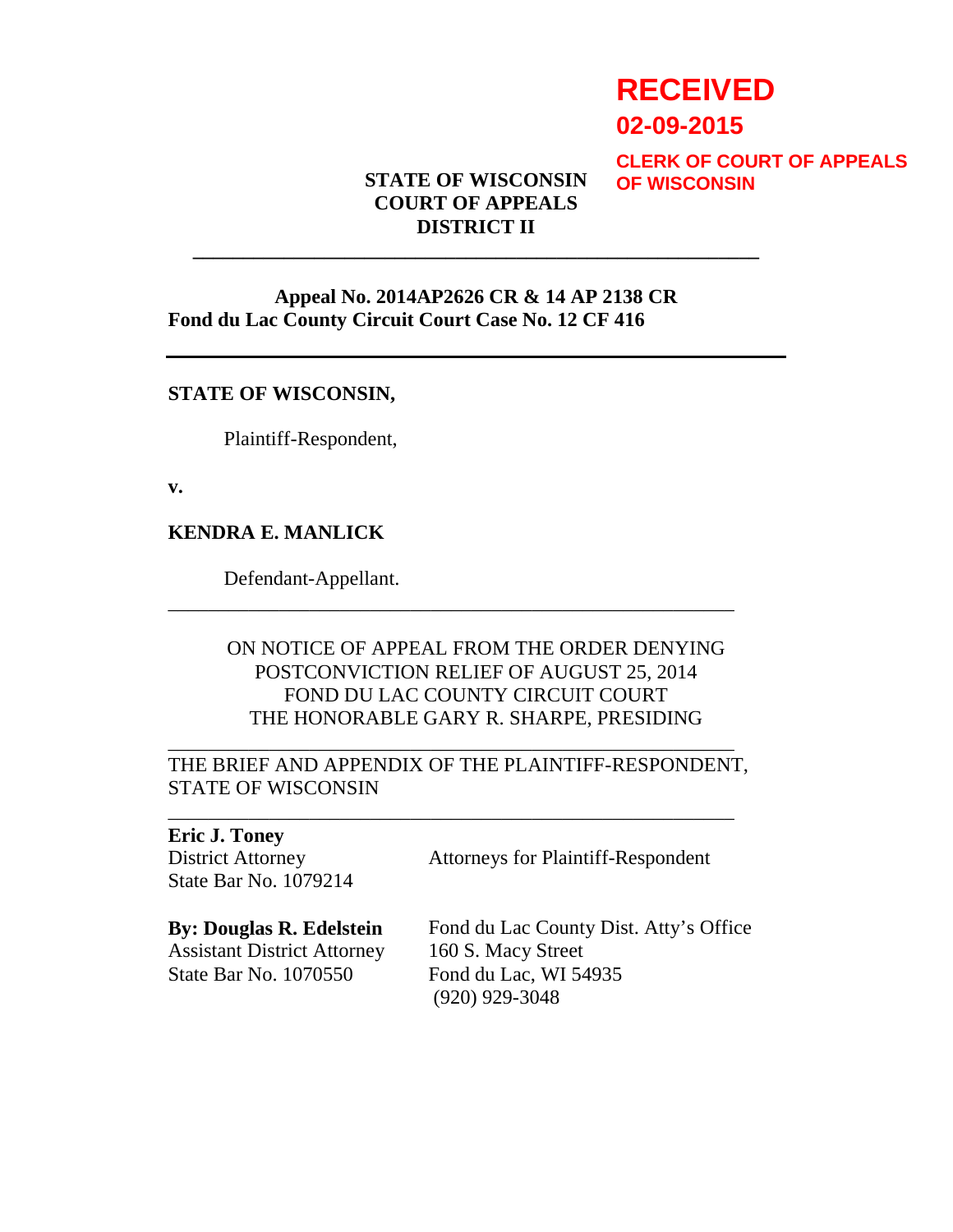# **RECEIVED**

**02-09-2015**

**STATE OF WISCONSIN COURT OF APPEALS DISTRICT II** 

**CLERK OF COURT OF APPEALS OF WISCONSIN**

#### **Appeal No. 2014AP2626 CR & 14 AP 2138 CR Fond du Lac County Circuit Court Case No. 12 CF 416**

**\_\_\_\_\_\_\_\_\_\_\_\_\_\_\_\_\_\_\_\_\_\_\_\_\_\_\_\_\_\_\_\_\_\_\_\_\_\_\_\_\_\_\_\_\_\_\_\_\_\_\_\_\_\_\_\_** 

#### **STATE OF WISCONSIN,**

Plaintiff-Respondent,

**v.** 

#### **KENDRA E. MANLICK**

Defendant-Appellant.

#### ON NOTICE OF APPEAL FROM THE ORDER DENYING POSTCONVICTION RELIEF OF AUGUST 25, 2014 FOND DU LAC COUNTY CIRCUIT COURT THE HONORABLE GARY R. SHARPE, PRESIDING

\_\_\_\_\_\_\_\_\_\_\_\_\_\_\_\_\_\_\_\_\_\_\_\_\_\_\_\_\_\_\_\_\_\_\_\_\_\_\_\_\_\_\_\_\_\_\_\_\_\_\_\_\_\_\_\_

#### THE BRIEF AND APPENDIX OF THE PLAINTIFF-RESPONDENT, STATE OF WISCONSIN

\_\_\_\_\_\_\_\_\_\_\_\_\_\_\_\_\_\_\_\_\_\_\_\_\_\_\_\_\_\_\_\_\_\_\_\_\_\_\_\_\_\_\_\_\_\_\_\_\_\_\_\_\_\_\_\_

\_\_\_\_\_\_\_\_\_\_\_\_\_\_\_\_\_\_\_\_\_\_\_\_\_\_\_\_\_\_\_\_\_\_\_\_\_\_\_\_\_\_\_\_\_\_\_\_\_\_\_\_\_\_\_\_

#### **Eric J. Toney**

District Attorney State Bar No. 1079214 Attorneys for Plaintiff-Respondent

**By: Douglas R. Edelstein**  Assistant District Attorney State Bar No. 1070550

Fond du Lac County Dist. Atty's Office 160 S. Macy Street Fond du Lac, WI 54935 (920) 929-3048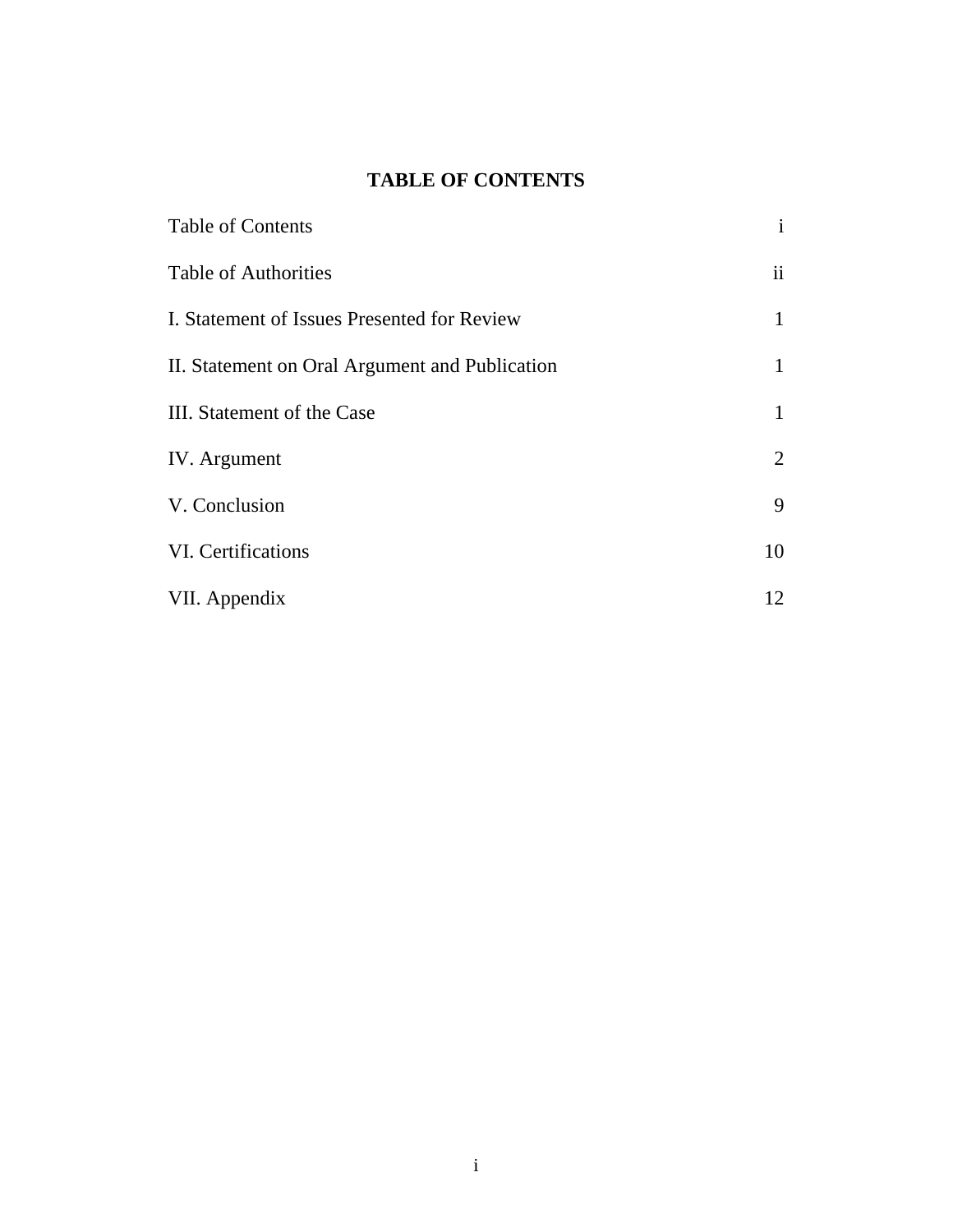# **TABLE OF CONTENTS**

| <b>Table of Contents</b>                       | $\mathbf{i}$  |
|------------------------------------------------|---------------|
| <b>Table of Authorities</b>                    | $\mathbf{ii}$ |
| I. Statement of Issues Presented for Review    | 1             |
| II. Statement on Oral Argument and Publication | 1             |
| III. Statement of the Case                     | 1             |
| IV. Argument                                   | 2             |
| V. Conclusion                                  | 9             |
| VI. Certifications                             | 10            |
| VII. Appendix                                  | 12            |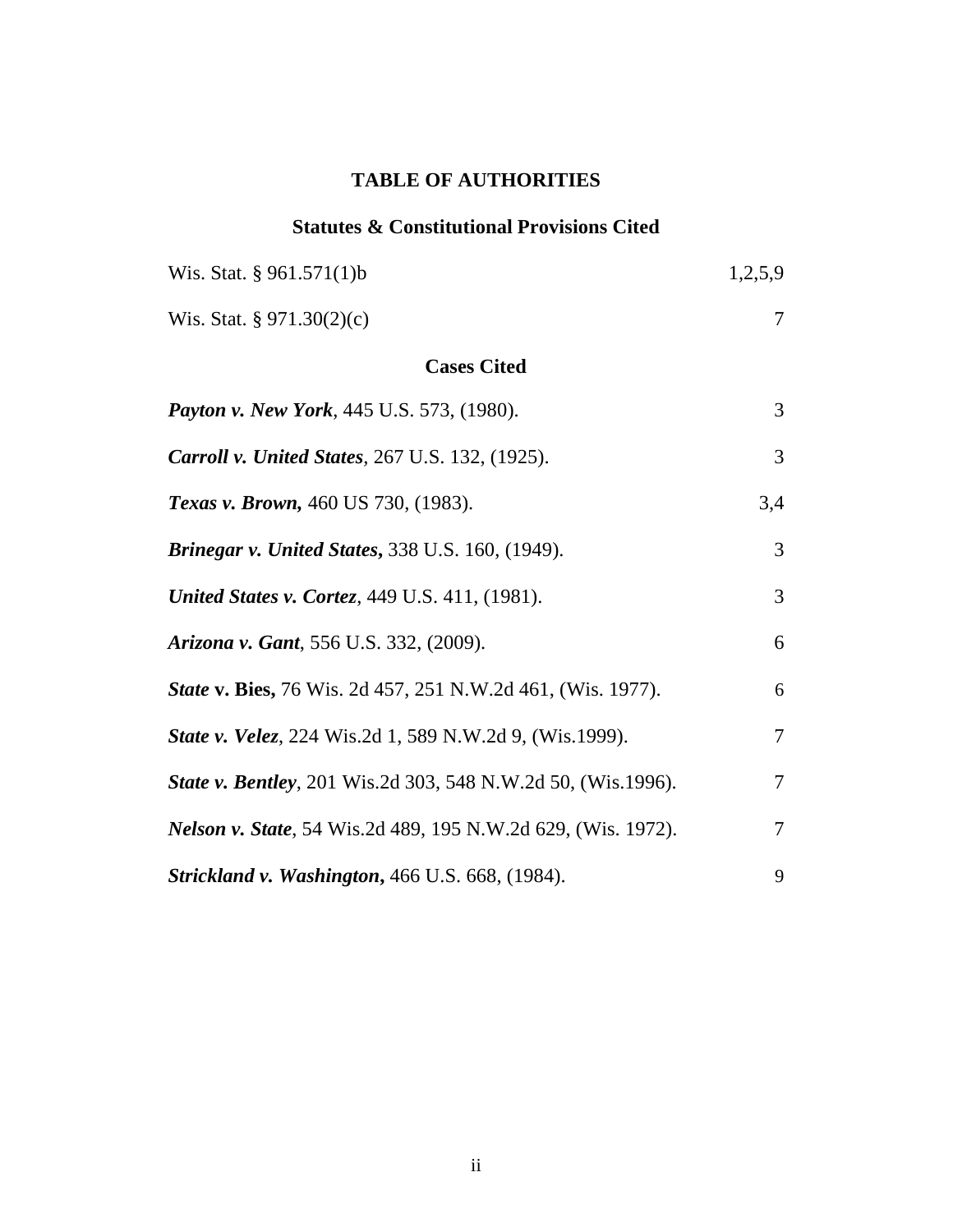# **TABLE OF AUTHORITIES**

### **Statutes & Constitutional Provisions Cited**

| Wis. Stat. $§ 961.571(1)b$                                           | 1,2,5,9 |  |
|----------------------------------------------------------------------|---------|--|
| Wis. Stat. $\S 971.30(2)(c)$                                         | $\tau$  |  |
| <b>Cases Cited</b>                                                   |         |  |
| <b>Payton v. New York, 445 U.S. 573, (1980).</b>                     | 3       |  |
| <b>Carroll v. United States, 267 U.S. 132, (1925).</b>               | 3       |  |
| Texas v. Brown, 460 US 730, (1983).                                  | 3,4     |  |
| <b>Brinegar v. United States, 338 U.S. 160, (1949).</b>              | 3       |  |
| <b>United States v. Cortez</b> , 449 U.S. 411, (1981).               | 3       |  |
| <i>Arizona v. Gant, 556 U.S. 332, (2009).</i>                        | 6       |  |
| <b>State v. Bies, 76 Wis. 2d 457, 251 N.W.2d 461, (Wis. 1977).</b>   | 6       |  |
| <b>State v. Velez</b> , 224 Wis.2d 1, 589 N.W.2d 9, (Wis.1999).      | $\tau$  |  |
| <b>State v. Bentley, 201 Wis.2d 303, 548 N.W.2d 50, (Wis.1996).</b>  | 7       |  |
| <b>Nelson v. State</b> , 54 Wis.2d 489, 195 N.W.2d 629, (Wis. 1972). | $\tau$  |  |
| <b>Strickland v. Washington, 466 U.S. 668, (1984).</b>               | 9       |  |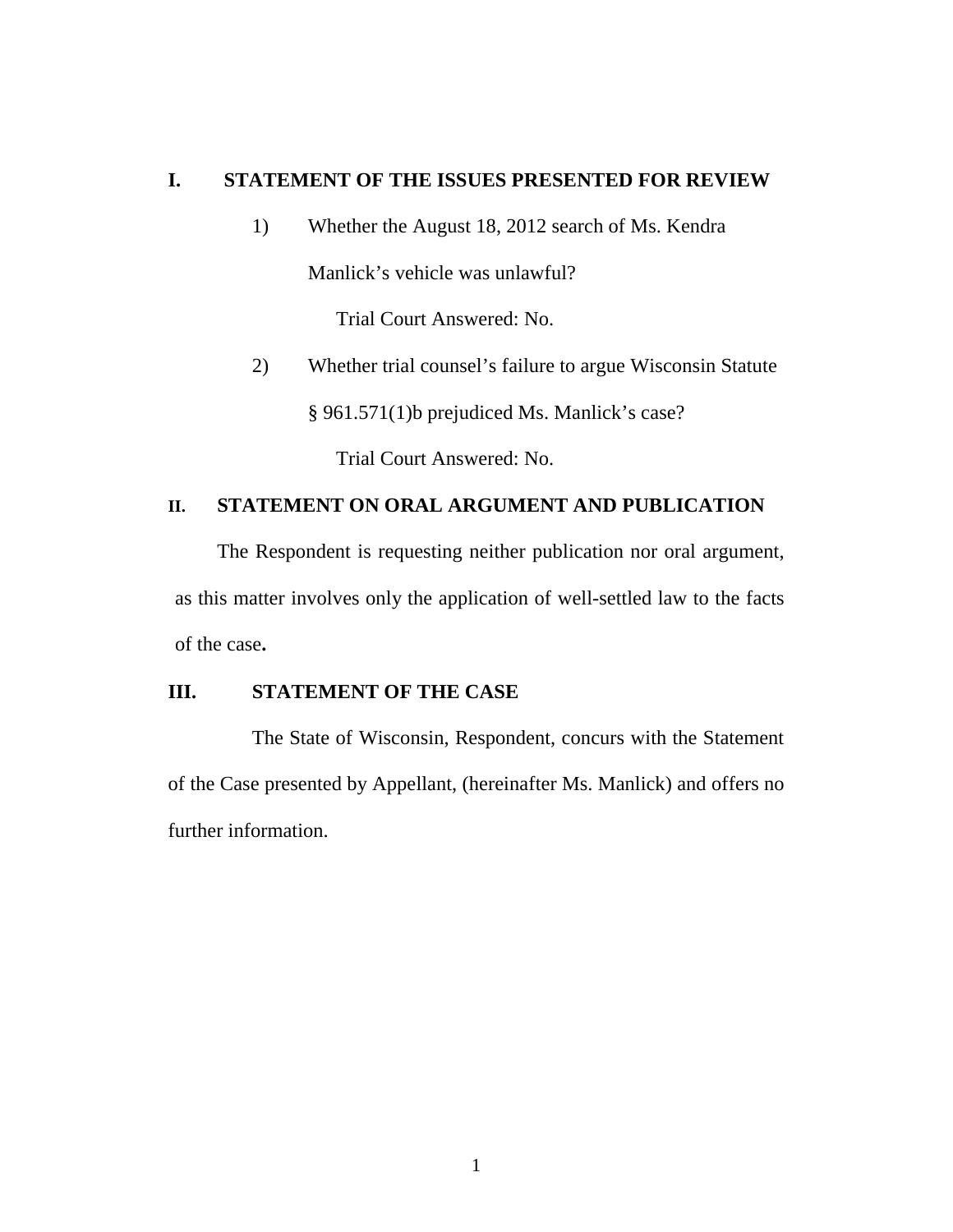#### **I. STATEMENT OF THE ISSUES PRESENTED FOR REVIEW**

1) Whether the August 18, 2012 search of Ms. Kendra Manlick's vehicle was unlawful?

Trial Court Answered: No.

2) Whether trial counsel's failure to argue Wisconsin Statute § 961.571(1)b prejudiced Ms. Manlick's case? Trial Court Answered: No.

#### **II. STATEMENT ON ORAL ARGUMENT AND PUBLICATION**

The Respondent is requesting neither publication nor oral argument, as this matter involves only the application of well-settled law to the facts of the case**.** 

#### **III. STATEMENT OF THE CASE**

The State of Wisconsin, Respondent, concurs with the Statement of the Case presented by Appellant, (hereinafter Ms. Manlick) and offers no further information.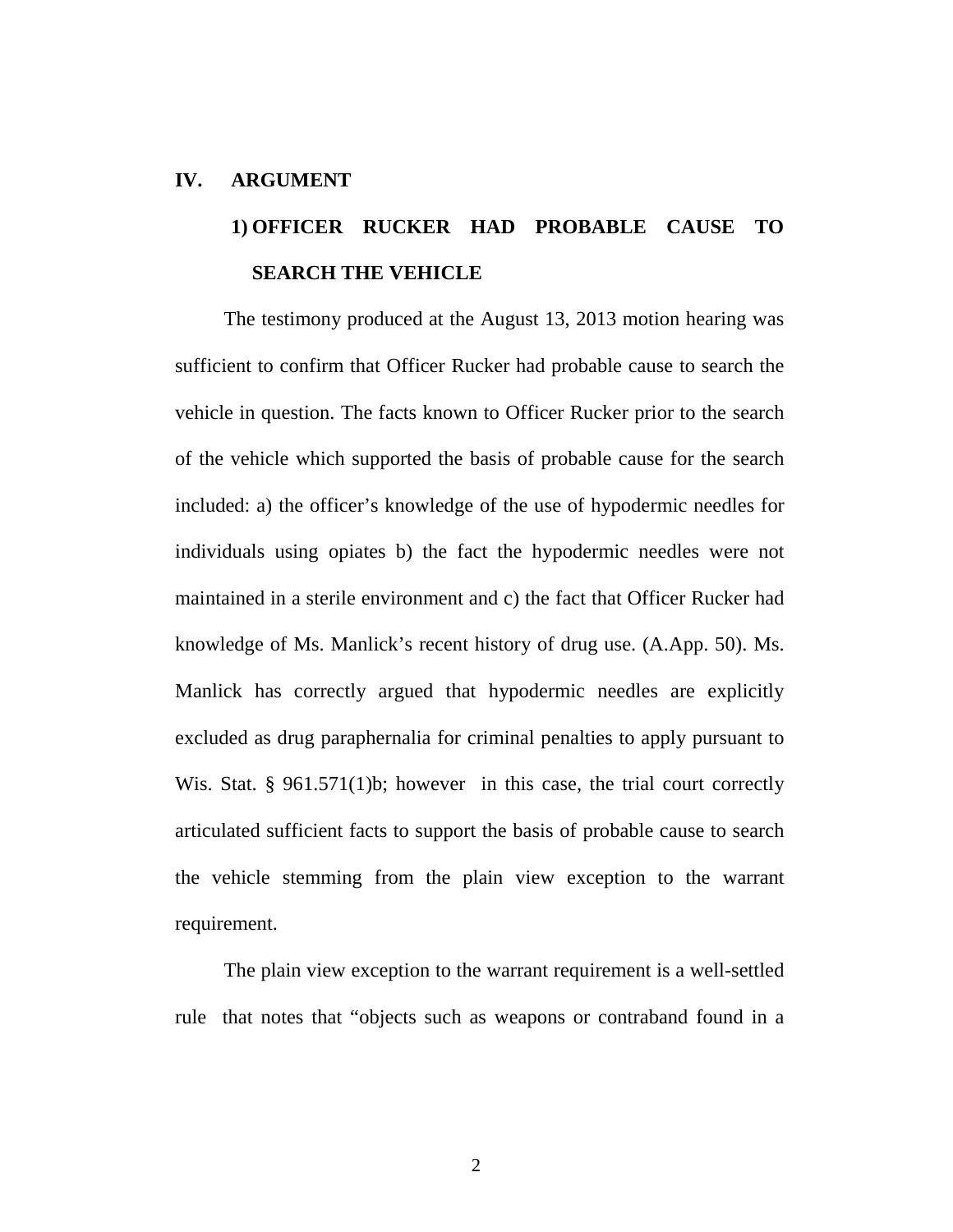#### **IV. ARGUMENT**

# **1) OFFICER RUCKER HAD PROBABLE CAUSE TO SEARCH THE VEHICLE**

The testimony produced at the August 13, 2013 motion hearing was sufficient to confirm that Officer Rucker had probable cause to search the vehicle in question. The facts known to Officer Rucker prior to the search of the vehicle which supported the basis of probable cause for the search included: a) the officer's knowledge of the use of hypodermic needles for individuals using opiates b) the fact the hypodermic needles were not maintained in a sterile environment and c) the fact that Officer Rucker had knowledge of Ms. Manlick's recent history of drug use. (A.App. 50). Ms. Manlick has correctly argued that hypodermic needles are explicitly excluded as drug paraphernalia for criminal penalties to apply pursuant to Wis. Stat. § 961.571(1)b; however in this case, the trial court correctly articulated sufficient facts to support the basis of probable cause to search the vehicle stemming from the plain view exception to the warrant requirement.

The plain view exception to the warrant requirement is a well-settled rule that notes that "objects such as weapons or contraband found in a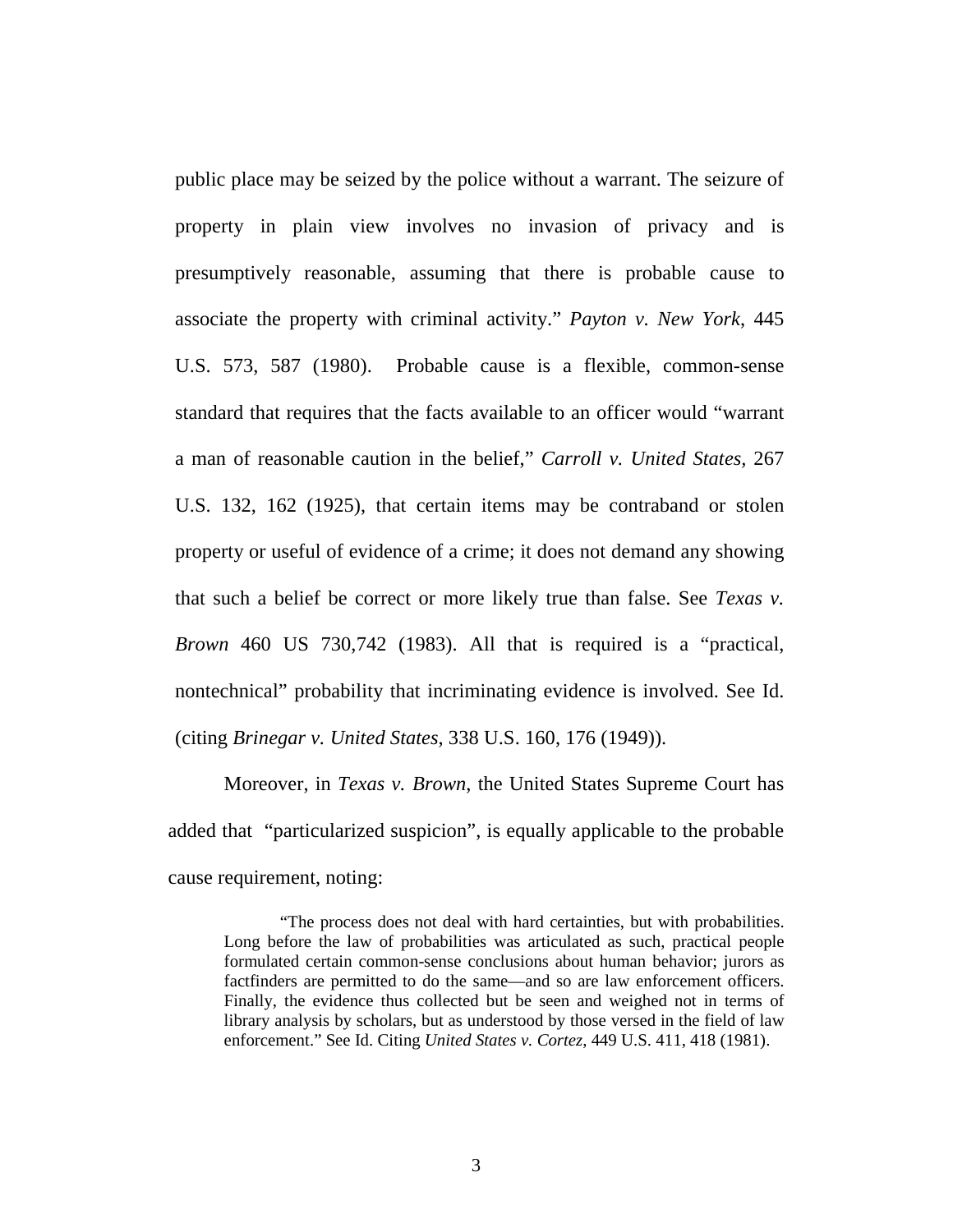public place may be seized by the police without a warrant. The seizure of property in plain view involves no invasion of privacy and is presumptively reasonable, assuming that there is probable cause to associate the property with criminal activity." *Payton v. New York*, 445 U.S. 573, 587 (1980). Probable cause is a flexible, common-sense standard that requires that the facts available to an officer would "warrant a man of reasonable caution in the belief," *Carroll v. United States,* 267 U.S. 132, 162 (1925), that certain items may be contraband or stolen property or useful of evidence of a crime; it does not demand any showing that such a belief be correct or more likely true than false. See *Texas v. Brown* 460 US 730,742 (1983). All that is required is a "practical, nontechnical" probability that incriminating evidence is involved. See Id. (citing *Brinegar v. United States*, 338 U.S. 160, 176 (1949)).

Moreover, in *Texas v. Brown*, the United States Supreme Court has added that "particularized suspicion", is equally applicable to the probable cause requirement, noting:

"The process does not deal with hard certainties, but with probabilities. Long before the law of probabilities was articulated as such, practical people formulated certain common-sense conclusions about human behavior; jurors as factfinders are permitted to do the same—and so are law enforcement officers. Finally, the evidence thus collected but be seen and weighed not in terms of library analysis by scholars, but as understood by those versed in the field of law enforcement." See Id. Citing *United States v. Cortez*, 449 U.S. 411, 418 (1981).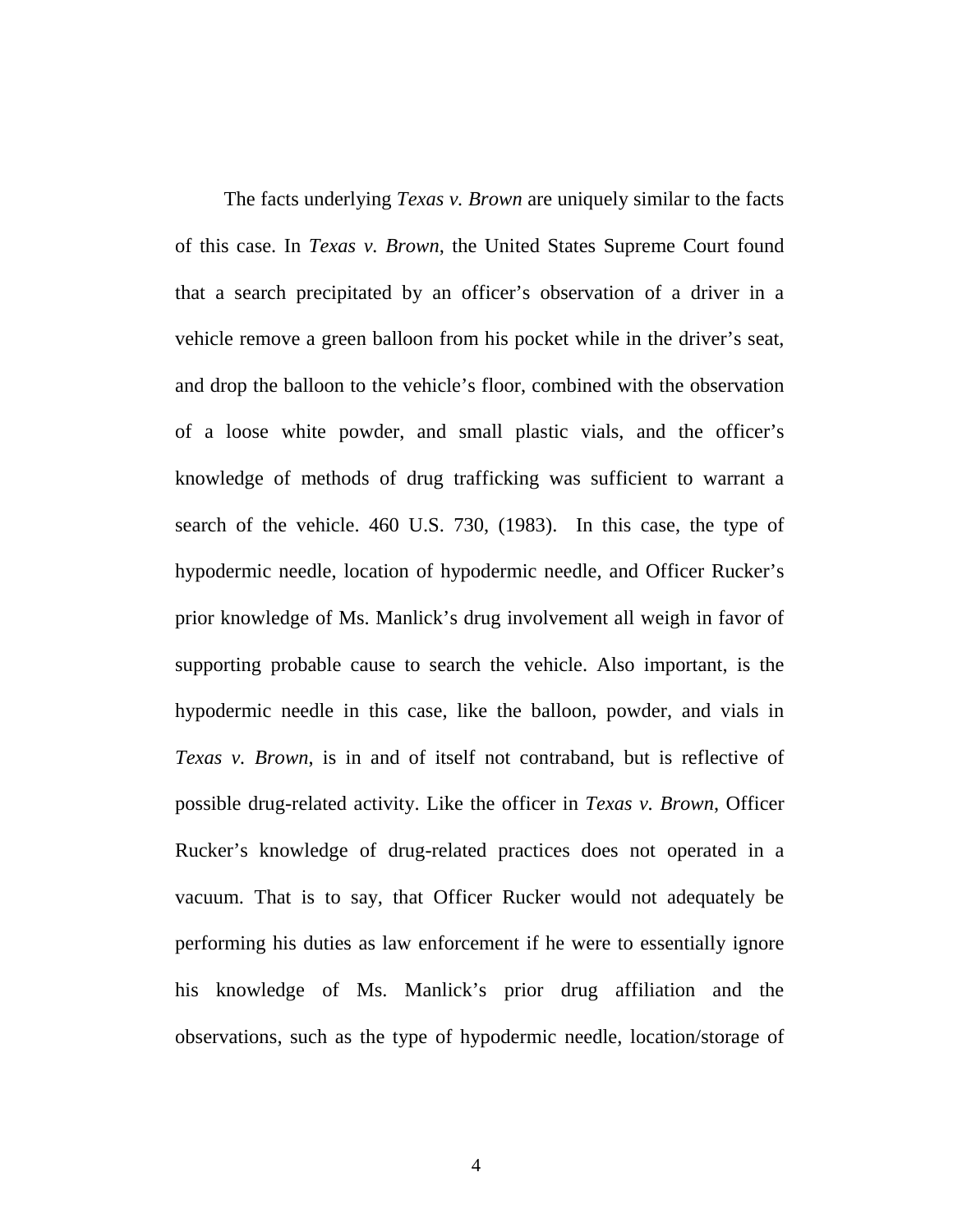The facts underlying *Texas v. Brown* are uniquely similar to the facts of this case. In *Texas v. Brown*, the United States Supreme Court found that a search precipitated by an officer's observation of a driver in a vehicle remove a green balloon from his pocket while in the driver's seat, and drop the balloon to the vehicle's floor, combined with the observation of a loose white powder, and small plastic vials, and the officer's knowledge of methods of drug trafficking was sufficient to warrant a search of the vehicle. 460 U.S. 730, (1983). In this case, the type of hypodermic needle, location of hypodermic needle, and Officer Rucker's prior knowledge of Ms. Manlick's drug involvement all weigh in favor of supporting probable cause to search the vehicle. Also important, is the hypodermic needle in this case, like the balloon, powder, and vials in *Texas v. Brown*, is in and of itself not contraband, but is reflective of possible drug-related activity. Like the officer in *Texas v. Brown*, Officer Rucker's knowledge of drug-related practices does not operated in a vacuum. That is to say, that Officer Rucker would not adequately be performing his duties as law enforcement if he were to essentially ignore his knowledge of Ms. Manlick's prior drug affiliation and the observations, such as the type of hypodermic needle, location/storage of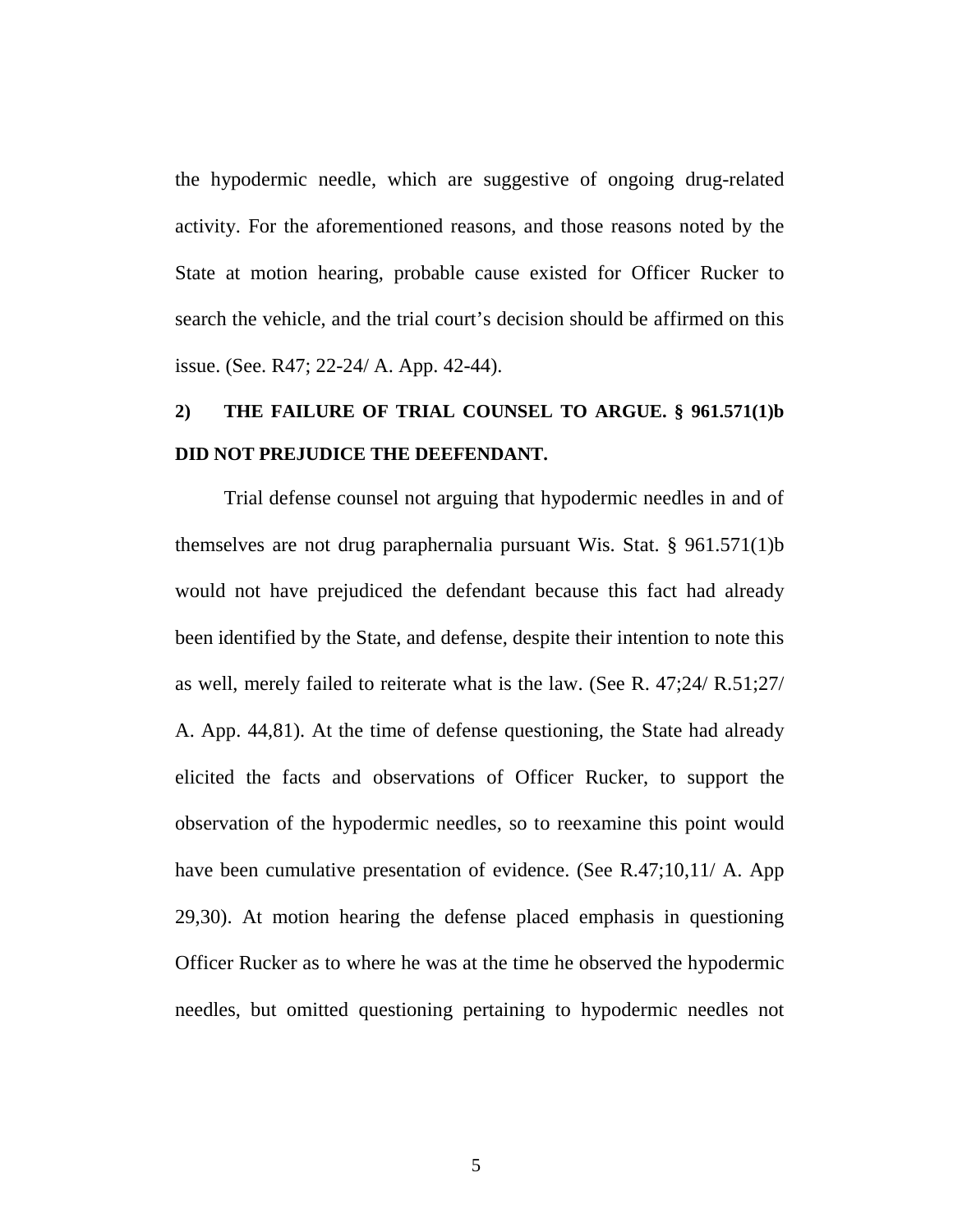the hypodermic needle, which are suggestive of ongoing drug-related activity. For the aforementioned reasons, and those reasons noted by the State at motion hearing, probable cause existed for Officer Rucker to search the vehicle, and the trial court's decision should be affirmed on this issue. (See. R47; 22-24/ A. App. 42-44).

# **2) THE FAILURE OF TRIAL COUNSEL TO ARGUE. § 961.571(1)b DID NOT PREJUDICE THE DEEFENDANT.**

 Trial defense counsel not arguing that hypodermic needles in and of themselves are not drug paraphernalia pursuant Wis. Stat. § 961.571(1)b would not have prejudiced the defendant because this fact had already been identified by the State, and defense, despite their intention to note this as well, merely failed to reiterate what is the law. (See R. 47;24/ R.51;27/ A. App. 44,81). At the time of defense questioning, the State had already elicited the facts and observations of Officer Rucker, to support the observation of the hypodermic needles, so to reexamine this point would have been cumulative presentation of evidence. (See R.47;10,11/ A. App 29,30). At motion hearing the defense placed emphasis in questioning Officer Rucker as to where he was at the time he observed the hypodermic needles, but omitted questioning pertaining to hypodermic needles not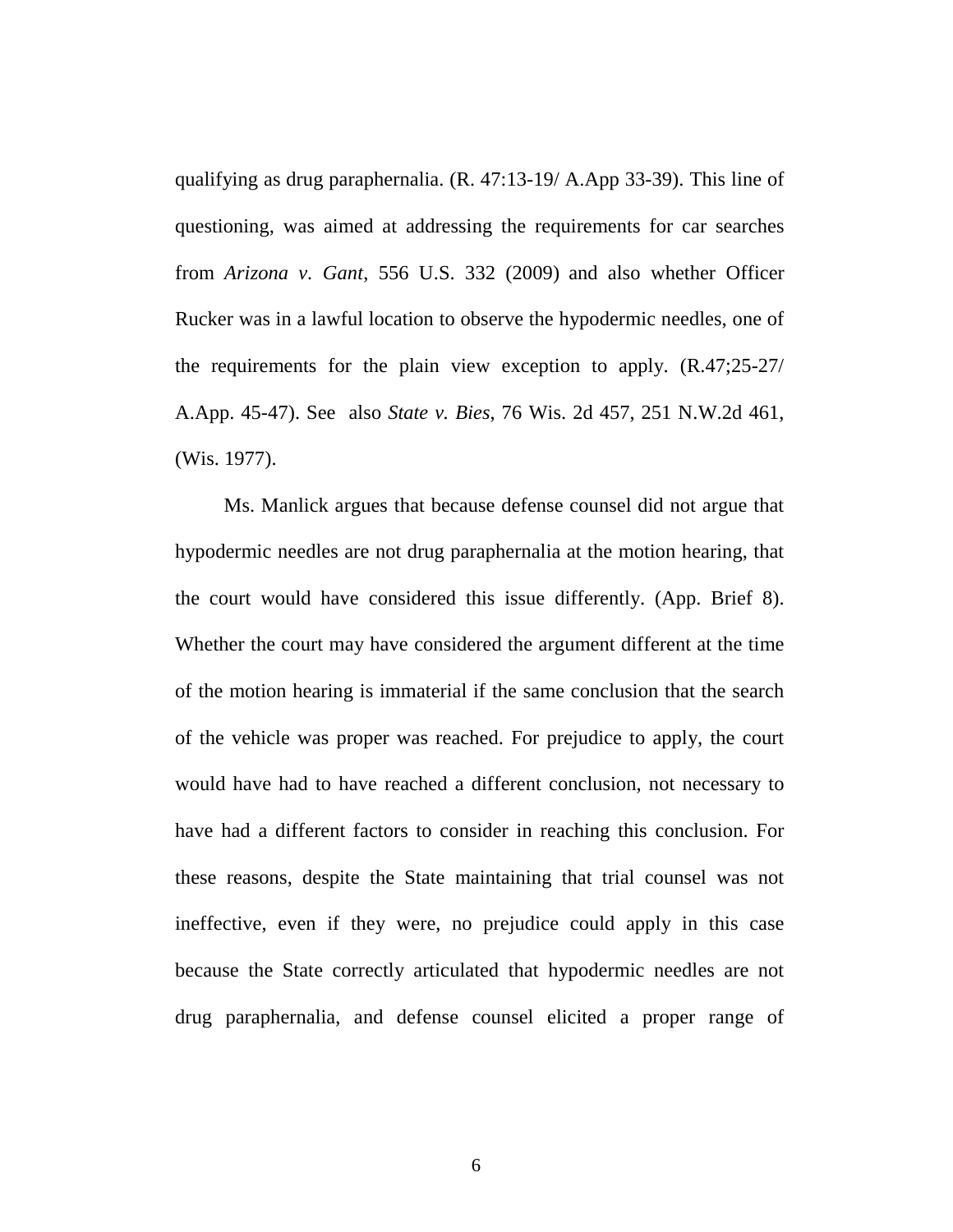qualifying as drug paraphernalia. (R. 47:13-19/ A.App 33-39). This line of questioning, was aimed at addressing the requirements for car searches from *Arizona v. Gant*, 556 U.S. 332 (2009) and also whether Officer Rucker was in a lawful location to observe the hypodermic needles, one of the requirements for the plain view exception to apply. (R.47;25-27/ A.App. 45-47). See also *State v. Bies*, 76 Wis. 2d 457, 251 N.W.2d 461, (Wis. 1977).

 Ms. Manlick argues that because defense counsel did not argue that hypodermic needles are not drug paraphernalia at the motion hearing, that the court would have considered this issue differently. (App. Brief 8). Whether the court may have considered the argument different at the time of the motion hearing is immaterial if the same conclusion that the search of the vehicle was proper was reached. For prejudice to apply, the court would have had to have reached a different conclusion, not necessary to have had a different factors to consider in reaching this conclusion. For these reasons, despite the State maintaining that trial counsel was not ineffective, even if they were, no prejudice could apply in this case because the State correctly articulated that hypodermic needles are not drug paraphernalia, and defense counsel elicited a proper range of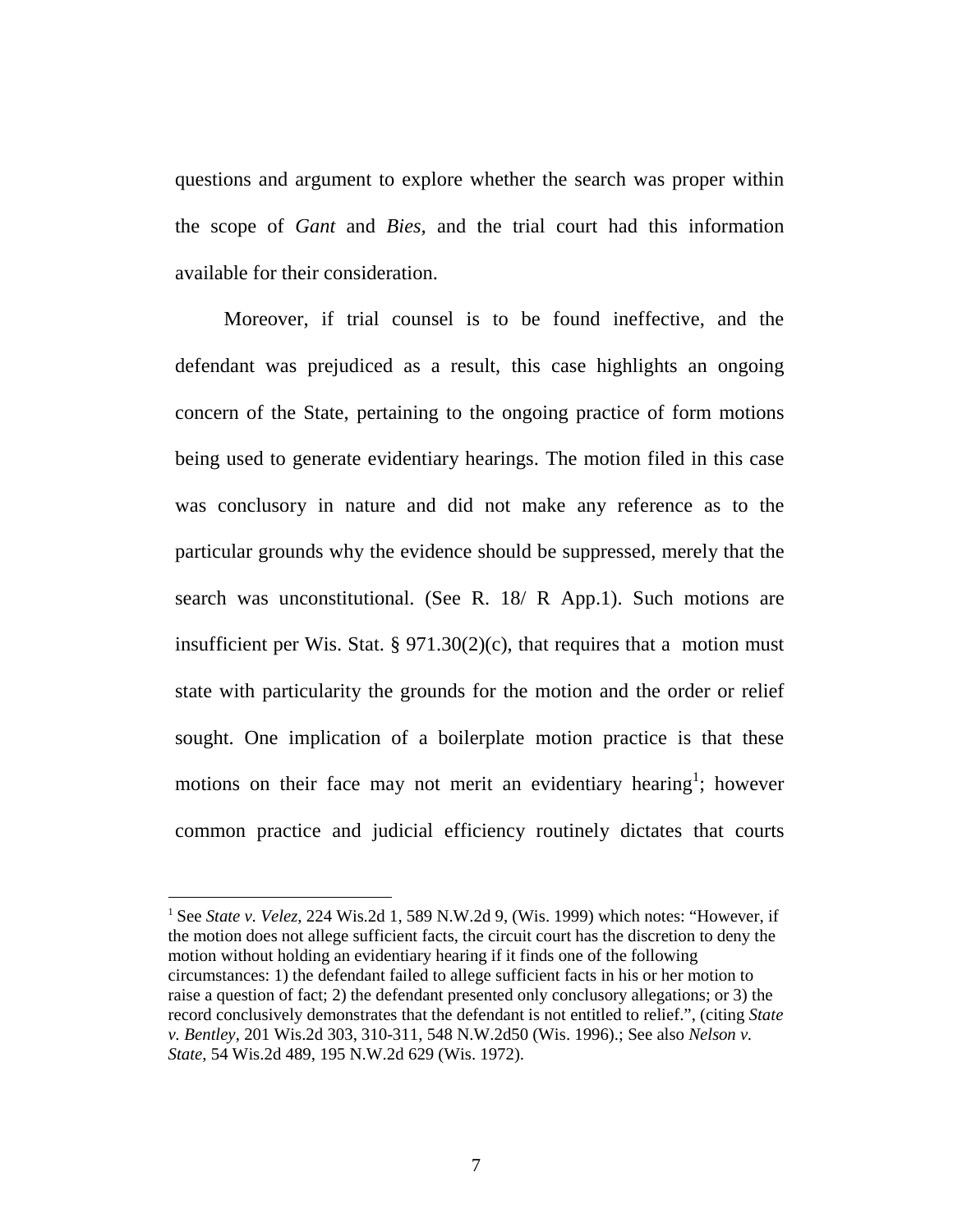questions and argument to explore whether the search was proper within the scope of *Gant* and *Bies,* and the trial court had this information available for their consideration.

 Moreover, if trial counsel is to be found ineffective, and the defendant was prejudiced as a result, this case highlights an ongoing concern of the State, pertaining to the ongoing practice of form motions being used to generate evidentiary hearings. The motion filed in this case was conclusory in nature and did not make any reference as to the particular grounds why the evidence should be suppressed, merely that the search was unconstitutional. (See R. 18/ R App.1). Such motions are insufficient per Wis. Stat.  $\S 971.30(2)(c)$ , that requires that a motion must state with particularity the grounds for the motion and the order or relief sought. One implication of a boilerplate motion practice is that these motions on their face may not merit an evidentiary hearing<sup>1</sup>; however common practice and judicial efficiency routinely dictates that courts

<u>.</u>

<sup>&</sup>lt;sup>1</sup> See *State v. Velez*, 224 Wis.2d 1, 589 N.W.2d 9, (Wis. 1999) which notes: "However, if the motion does not allege sufficient facts, the circuit court has the discretion to deny the motion without holding an evidentiary hearing if it finds one of the following circumstances: 1) the defendant failed to allege sufficient facts in his or her motion to raise a question of fact; 2) the defendant presented only conclusory allegations; or 3) the record conclusively demonstrates that the defendant is not entitled to relief.", (citing *State v. Bentley*, 201 Wis.2d 303, 310-311, 548 N.W.2d50 (Wis. 1996).; See also *Nelson v. State*, 54 Wis.2d 489, 195 N.W.2d 629 (Wis. 1972).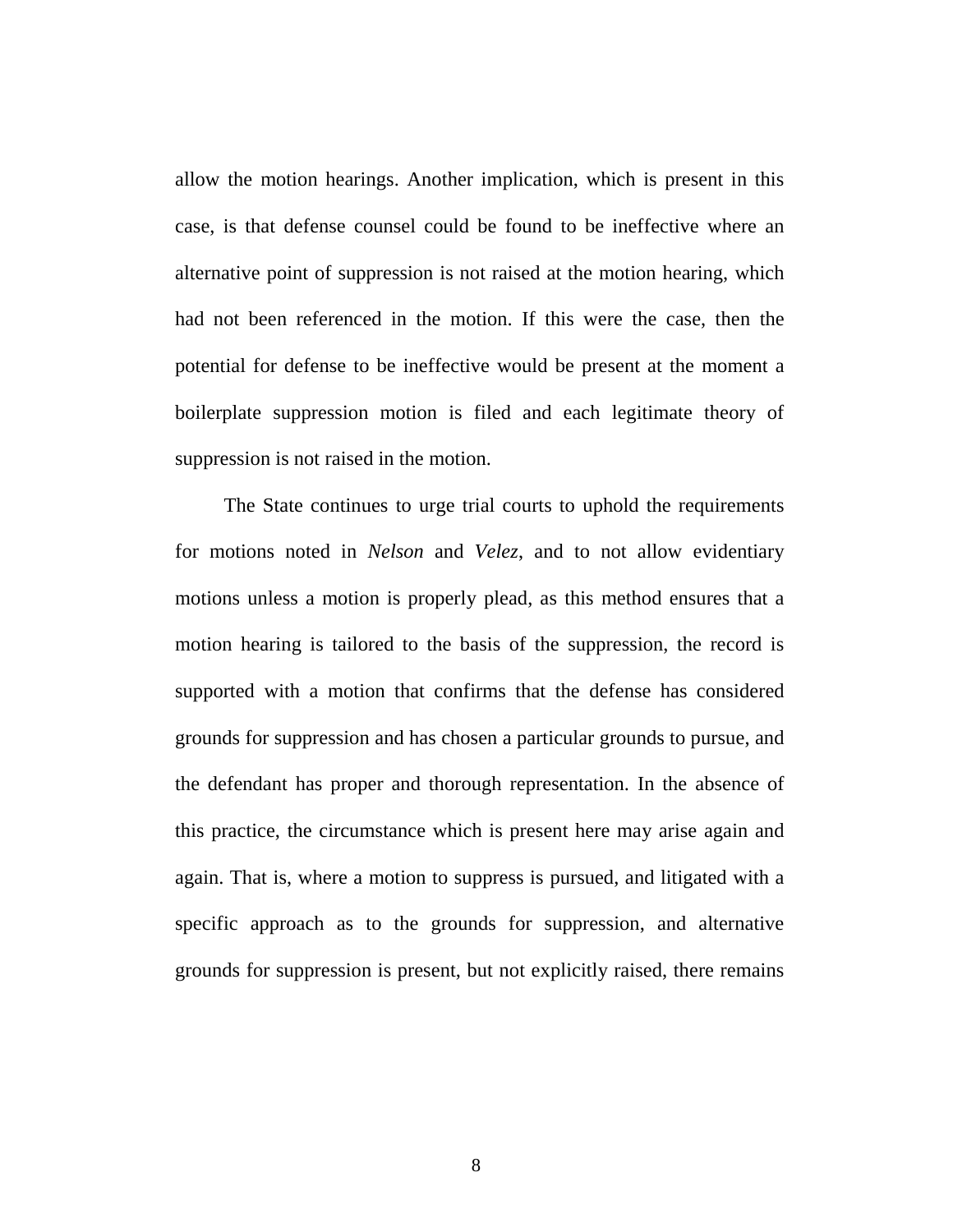allow the motion hearings. Another implication, which is present in this case, is that defense counsel could be found to be ineffective where an alternative point of suppression is not raised at the motion hearing, which had not been referenced in the motion. If this were the case, then the potential for defense to be ineffective would be present at the moment a boilerplate suppression motion is filed and each legitimate theory of suppression is not raised in the motion.

 The State continues to urge trial courts to uphold the requirements for motions noted in *Nelson* and *Velez*, and to not allow evidentiary motions unless a motion is properly plead, as this method ensures that a motion hearing is tailored to the basis of the suppression, the record is supported with a motion that confirms that the defense has considered grounds for suppression and has chosen a particular grounds to pursue, and the defendant has proper and thorough representation. In the absence of this practice, the circumstance which is present here may arise again and again. That is, where a motion to suppress is pursued, and litigated with a specific approach as to the grounds for suppression, and alternative grounds for suppression is present, but not explicitly raised, there remains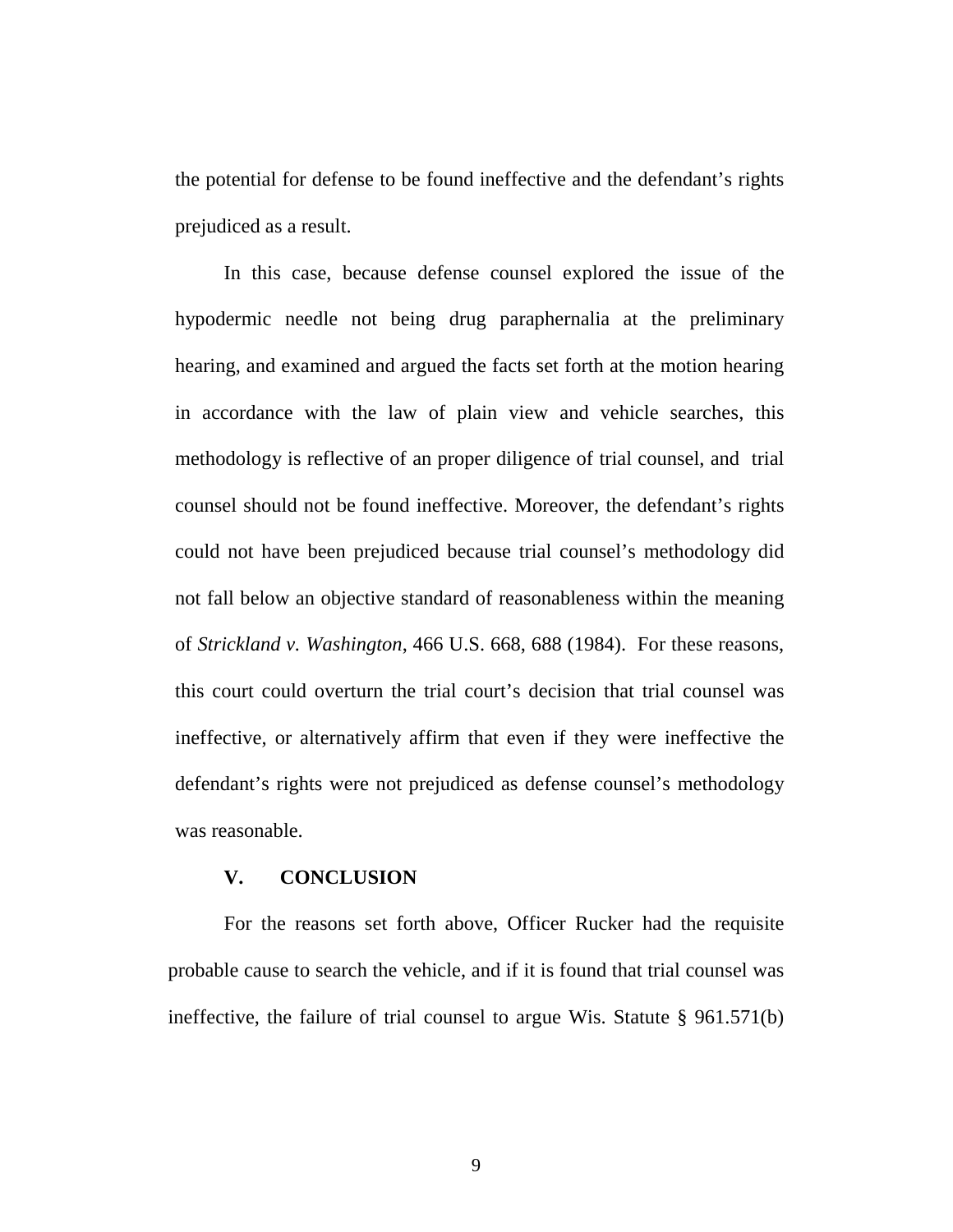the potential for defense to be found ineffective and the defendant's rights prejudiced as a result.

 In this case, because defense counsel explored the issue of the hypodermic needle not being drug paraphernalia at the preliminary hearing, and examined and argued the facts set forth at the motion hearing in accordance with the law of plain view and vehicle searches, this methodology is reflective of an proper diligence of trial counsel, and trial counsel should not be found ineffective. Moreover, the defendant's rights could not have been prejudiced because trial counsel's methodology did not fall below an objective standard of reasonableness within the meaning of *Strickland v. Washington*, 466 U.S. 668, 688 (1984). For these reasons, this court could overturn the trial court's decision that trial counsel was ineffective, or alternatively affirm that even if they were ineffective the defendant's rights were not prejudiced as defense counsel's methodology was reasonable.

#### **V. CONCLUSION**

For the reasons set forth above, Officer Rucker had the requisite probable cause to search the vehicle, and if it is found that trial counsel was ineffective, the failure of trial counsel to argue Wis. Statute § 961.571(b)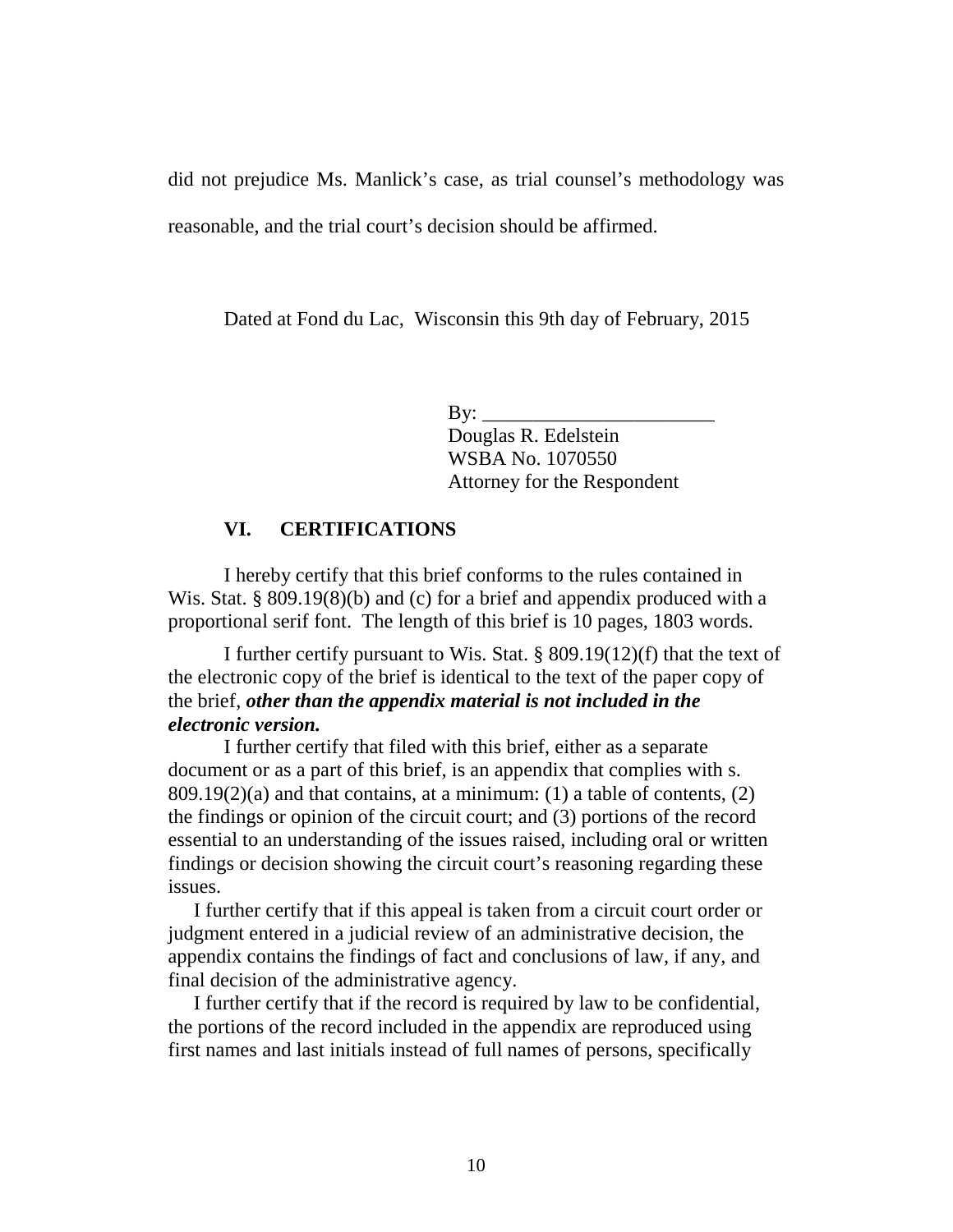did not prejudice Ms. Manlick's case, as trial counsel's methodology was reasonable, and the trial court's decision should be affirmed.

Dated at Fond du Lac, Wisconsin this 9th day of February, 2015

 $\mathbf{B}$ y:

Douglas R. Edelstein WSBA No. 1070550 Attorney for the Respondent

#### **VI. CERTIFICATIONS**

 I hereby certify that this brief conforms to the rules contained in Wis. Stat. § 809.19(8)(b) and (c) for a brief and appendix produced with a proportional serif font. The length of this brief is 10 pages, 1803 words.

I further certify pursuant to Wis. Stat. § 809.19(12)(f) that the text of the electronic copy of the brief is identical to the text of the paper copy of the brief, *other than the appendix material is not included in the electronic version.* 

I further certify that filed with this brief, either as a separate document or as a part of this brief, is an appendix that complies with s.  $809.19(2)(a)$  and that contains, at a minimum: (1) a table of contents, (2) the findings or opinion of the circuit court; and (3) portions of the record essential to an understanding of the issues raised, including oral or written findings or decision showing the circuit court's reasoning regarding these issues.

I further certify that if this appeal is taken from a circuit court order or judgment entered in a judicial review of an administrative decision, the appendix contains the findings of fact and conclusions of law, if any, and final decision of the administrative agency.

I further certify that if the record is required by law to be confidential, the portions of the record included in the appendix are reproduced using first names and last initials instead of full names of persons, specifically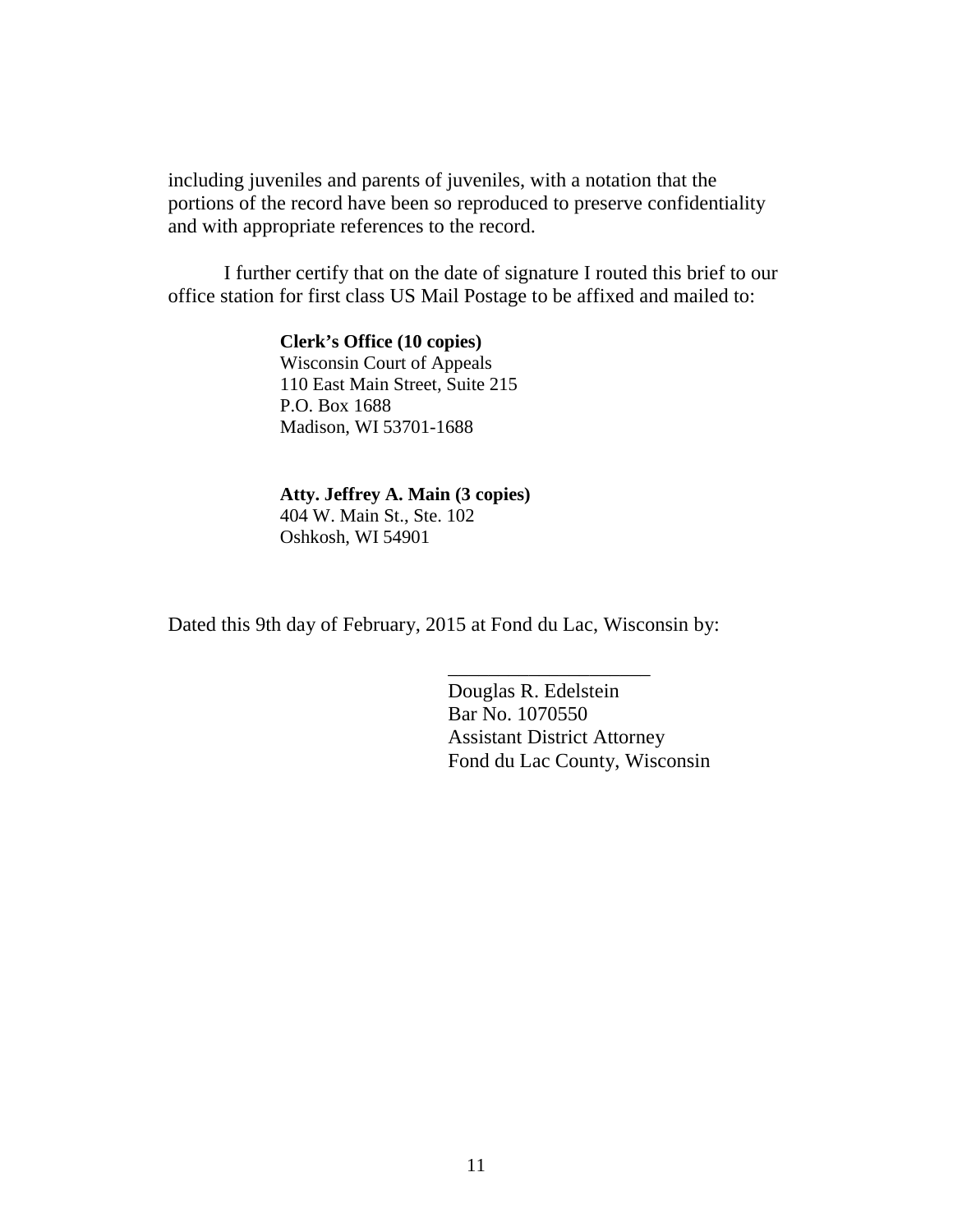including juveniles and parents of juveniles, with a notation that the portions of the record have been so reproduced to preserve confidentiality and with appropriate references to the record.

I further certify that on the date of signature I routed this brief to our office station for first class US Mail Postage to be affixed and mailed to:

#### **Clerk's Office (10 copies)**

Wisconsin Court of Appeals 110 East Main Street, Suite 215 P.O. Box 1688 Madison, WI 53701-1688

#### **Atty. Jeffrey A. Main (3 copies)**

 404 W. Main St., Ste. 102 Oshkosh, WI 54901

Dated this 9th day of February, 2015 at Fond du Lac, Wisconsin by:

 $\frac{1}{\sqrt{2}}$  ,  $\frac{1}{\sqrt{2}}$  ,  $\frac{1}{\sqrt{2}}$  ,  $\frac{1}{\sqrt{2}}$  ,  $\frac{1}{\sqrt{2}}$  ,  $\frac{1}{\sqrt{2}}$  ,  $\frac{1}{\sqrt{2}}$  ,  $\frac{1}{\sqrt{2}}$  ,  $\frac{1}{\sqrt{2}}$  ,  $\frac{1}{\sqrt{2}}$  ,  $\frac{1}{\sqrt{2}}$  ,  $\frac{1}{\sqrt{2}}$  ,  $\frac{1}{\sqrt{2}}$  ,  $\frac{1}{\sqrt{2}}$  ,  $\frac{1}{\sqrt{2}}$ 

 Douglas R. Edelstein Bar No. 1070550 Assistant District Attorney Fond du Lac County, Wisconsin